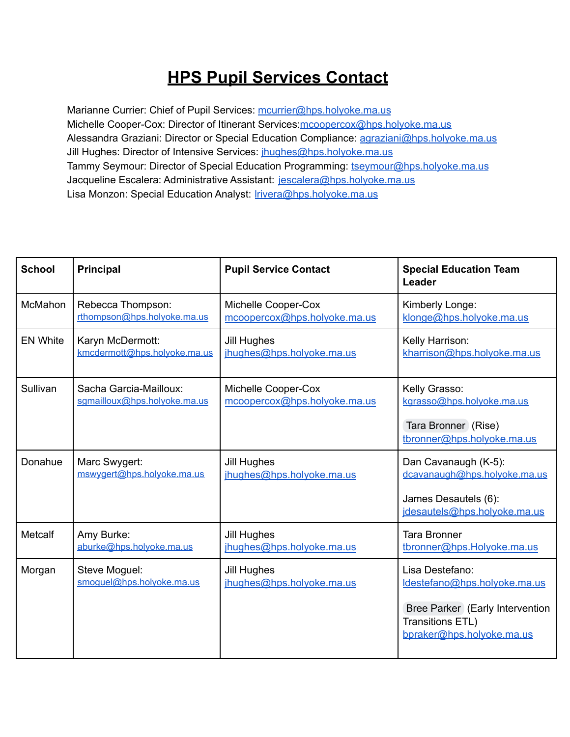## **HPS Pupil Services Contact**

Marianne Currier: Chief of Pupil Services: [mcurrier@hps.holyoke.ma.us](mailto:mcurrier@hps.holyoke.ma.us) Michelle Cooper-Cox: Director of Itinerant Services: mcoopercox@hps.holyoke.ma.us Alessandra Graziani: Director or Special Education Compliance: [agraziani@hps.holyoke.ma.us](mailto:agraziani@hps.holyoke.ma.us) Jill Hughes: Director of Intensive Services: *[jhughes@hps.holyoke.ma.us](mailto:jhughes@hps.holyoke.ma.us)* Tammy Seymour: Director of Special Education Programming: [tseymour@hps.holyoke.ma.us](mailto:tseymour@hps.holyoke.ma.us) Jacqueline Escalera: Administrative Assistant: [jescalera@hps.holyoke.ma.us](mailto:jescalera@hps.holyoke.ma.us) Lisa Monzon: Special Education Analyst: *Irivera@hps.holyoke.ma.us* 

| <b>School</b>   | <b>Principal</b>                                       | <b>Pupil Service Contact</b>                        | <b>Special Education Team</b><br>Leader                                                                                             |
|-----------------|--------------------------------------------------------|-----------------------------------------------------|-------------------------------------------------------------------------------------------------------------------------------------|
| <b>McMahon</b>  | Rebecca Thompson:<br>rthompson@hps.holyoke.ma.us       | Michelle Cooper-Cox<br>mcoopercox@hps.holyoke.ma.us | Kimberly Longe:<br>klonge@hps.holyoke.ma.us                                                                                         |
| <b>EN White</b> | Karyn McDermott:<br>kmcdermott@hps.holyoke.ma.us       | <b>Jill Hughes</b><br>jhughes@hps.holyoke.ma.us     | Kelly Harrison:<br>kharrison@hps.holyoke.ma.us                                                                                      |
| Sullivan        | Sacha Garcia-Mailloux:<br>sgmailloux@hps.holyoke.ma.us | Michelle Cooper-Cox<br>mcoopercox@hps.holyoke.ma.us | Kelly Grasso:<br>kgrasso@hps.holyoke.ma.us<br>Tara Bronner (Rise)<br>tbronner@hps.holyoke.ma.us                                     |
| Donahue         | Marc Swygert:<br>mswygert@hps.holyoke.ma.us            | <b>Jill Hughes</b><br>jhughes@hps.holyoke.ma.us     | Dan Cavanaugh (K-5):<br>dcavanaugh@hps.holyoke.ma.us<br>James Desautels (6):<br>idesautels@hps.holyoke.ma.us                        |
| <b>Metcalf</b>  | Amy Burke:<br>aburke@hps.holyoke.ma.us                 | <b>Jill Hughes</b><br>jhughes@hps.holyoke.ma.us     | <b>Tara Bronner</b><br>tbronner@hps.Holyoke.ma.us                                                                                   |
| Morgan          | Steve Moguel:<br>smoguel@hps.holyoke.ma.us             | <b>Jill Hughes</b><br>jhughes@hps.holyoke.ma.us     | Lisa Destefano:<br>Idestefano@hps.holyoke.ma.us<br>Bree Parker (Early Intervention<br>Transitions ETL)<br>bpraker@hps.holyoke.ma.us |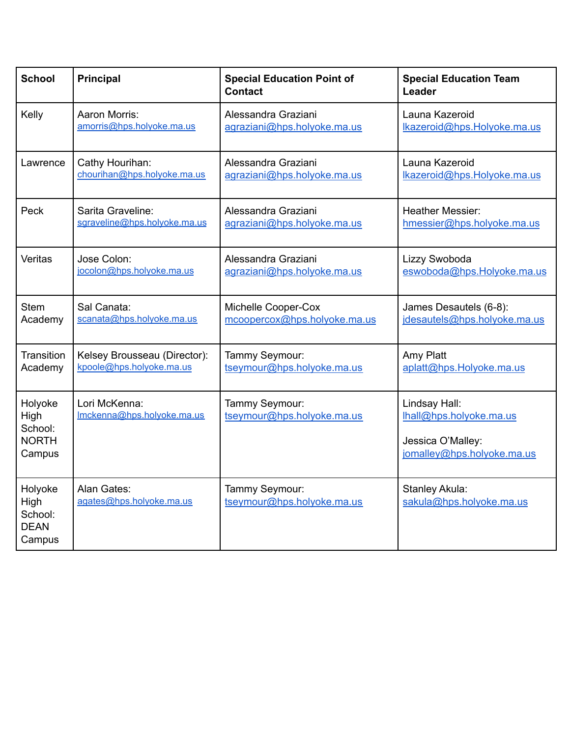| <b>School</b>                                        | <b>Principal</b>                            | <b>Special Education Point of</b><br><b>Contact</b> | <b>Special Education Team</b><br>Leader                                                     |
|------------------------------------------------------|---------------------------------------------|-----------------------------------------------------|---------------------------------------------------------------------------------------------|
| Kelly                                                | Aaron Morris:                               | Alessandra Graziani                                 | Launa Kazeroid                                                                              |
|                                                      | amorris@hps.holyoke.ma.us                   | agraziani@hps.holyoke.ma.us                         | lkazeroid@hps.Holyoke.ma.us                                                                 |
| Lawrence                                             | Cathy Hourihan:                             | Alessandra Graziani                                 | Launa Kazeroid                                                                              |
|                                                      | chourihan@hps.holyoke.ma.us                 | agraziani@hps.holyoke.ma.us                         | lkazeroid@hps.Holyoke.ma.us                                                                 |
| Peck                                                 | Sarita Graveline:                           | Alessandra Graziani                                 | <b>Heather Messier:</b>                                                                     |
|                                                      | sgraveline@hps.holyoke.ma.us                | agraziani@hps.holyoke.ma.us                         | hmessier@hps.holyoke.ma.us                                                                  |
| Veritas                                              | Jose Colon:                                 | Alessandra Graziani                                 | Lizzy Swoboda                                                                               |
|                                                      | jocolon@hps.holyoke.ma.us                   | agraziani@hps.holyoke.ma.us                         | eswoboda@hps.Holyoke.ma.us                                                                  |
| <b>Stem</b>                                          | Sal Canata:                                 | Michelle Cooper-Cox                                 | James Desautels (6-8):                                                                      |
| Academy                                              | scanata@hps.holyoke.ma.us                   | mcoopercox@hps.holyoke.ma.us                        | jdesautels@hps.holyoke.ma.us                                                                |
| Transition                                           | Kelsey Brousseau (Director):                | Tammy Seymour:                                      | Amy Platt                                                                                   |
| Academy                                              | kpoole@hps.holyoke.ma.us                    | tseymour@hps.holyoke.ma.us                          | aplatt@hps.Holyoke.ma.us                                                                    |
| Holyoke<br>High<br>School:<br><b>NORTH</b><br>Campus | Lori McKenna:<br>Imckenna@hps.holyoke.ma.us | Tammy Seymour:<br>tseymour@hps.holyoke.ma.us        | Lindsay Hall:<br>lhall@hps.holyoke.ma.us<br>Jessica O'Malley:<br>jomalley@hps.holyoke.ma.us |
| Holyoke<br>High<br>School:<br><b>DEAN</b><br>Campus  | Alan Gates:<br>agates@hps.holyoke.ma.us     | Tammy Seymour:<br>tseymour@hps.holyoke.ma.us        | Stanley Akula:<br>sakula@hps.holyoke.ma.us                                                  |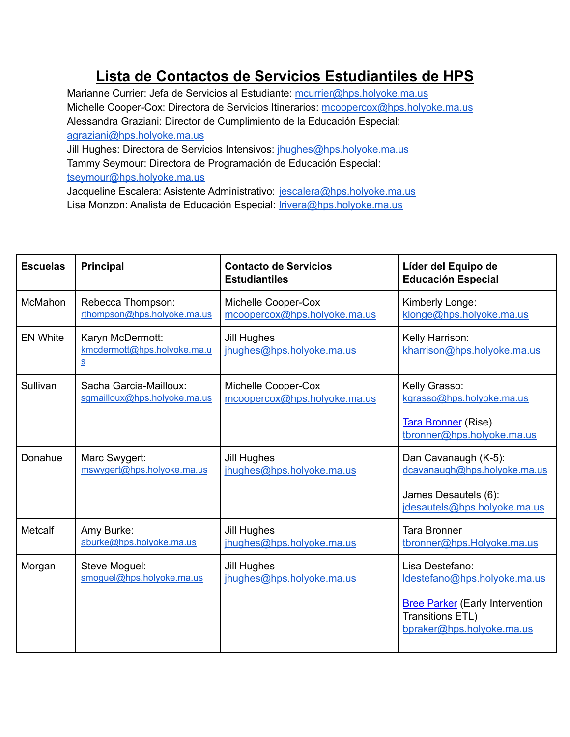## **Lista de Contactos de Servicios Estudiantiles de HPS**

Marianne Currier: Jefa de Servicios al Estudiante: [mcurrier@hps.holyoke.ma.us](mailto:mcurrier@hps.holyoke.ma.us) Michelle Cooper-Cox: Directora de Servicios Itinerarios: [mcoopercox@hps.holyoke.ma.us](mailto:mcoopercox@hps.holyoke.ma.us) Alessandra Graziani: Director de Cumplimiento de la Educación Especial: [agraziani@hps.holyoke.ma.us](mailto:agraziani@hps.holyoke.ma.us) Jill Hughes: Directora de Servicios Intensivos: *[jhughes@hps.holyoke.ma.us](mailto:jhughes@hps.holyoke.ma.us)* 

Tammy Seymour: Directora de Programación de Educación Especial: [tseymour@hps.holyoke.ma.us](mailto:tseymour@hps.holyoke.ma.us)

Jacqueline Escalera: Asistente Administrativo: [jescalera@hps.holyoke.ma.us](mailto:jescalera@hps.holyoke.ma.us) Lisa Monzon: Analista de Educación Especial: *Irivera@hps.holyoke.ma.us* 

| <b>Escuelas</b> | <b>Principal</b>                                                                        | <b>Contacto de Servicios</b><br><b>Estudiantiles</b> | Líder del Equipo de<br><b>Educación Especial</b>                                        |
|-----------------|-----------------------------------------------------------------------------------------|------------------------------------------------------|-----------------------------------------------------------------------------------------|
| McMahon         | Rebecca Thompson:                                                                       | Michelle Cooper-Cox                                  | Kimberly Longe:                                                                         |
|                 | rthompson@hps.holyoke.ma.us                                                             | mcoopercox@hps.holyoke.ma.us                         | klonge@hps.holyoke.ma.us                                                                |
| <b>EN White</b> | Karyn McDermott:<br>kmcdermott@hps.holyoke.ma.u<br>$\underline{\underline{\mathsf{S}}}$ | <b>Jill Hughes</b><br>jhughes@hps.holyoke.ma.us      | Kelly Harrison:<br>kharrison@hps.holyoke.ma.us                                          |
| Sullivan        | Sacha Garcia-Mailloux:                                                                  | Michelle Cooper-Cox                                  | Kelly Grasso:                                                                           |
|                 | sqmailloux@hps.holyoke.ma.us                                                            | mcoopercox@hps.holyoke.ma.us                         | kgrasso@hps.holyoke.ma.us                                                               |
|                 |                                                                                         |                                                      | <b>Tara Bronner (Rise)</b><br>tbronner@hps.holyoke.ma.us                                |
| Donahue         | Marc Swygert:                                                                           | <b>Jill Hughes</b>                                   | Dan Cavanaugh (K-5):                                                                    |
|                 | mswygert@hps.holyoke.ma.us                                                              | jhughes@hps.holyoke.ma.us                            | dcavanaugh@hps.holyoke.ma.us                                                            |
|                 |                                                                                         |                                                      | James Desautels (6):<br>jdesautels@hps.holyoke.ma.us                                    |
| Metcalf         | Amy Burke:                                                                              | <b>Jill Hughes</b>                                   | <b>Tara Bronner</b>                                                                     |
|                 | aburke@hps.holyoke.ma.us                                                                | jhughes@hps.holyoke.ma.us                            | tbronner@hps.Holyoke.ma.us                                                              |
| Morgan          | Steve Moguel:                                                                           | <b>Jill Hughes</b>                                   | Lisa Destefano:                                                                         |
|                 | smoguel@hps.holyoke.ma.us                                                               | jhughes@hps.holyoke.ma.us                            | ldestefano@hps.holyoke.ma.us                                                            |
|                 |                                                                                         |                                                      | <b>Bree Parker</b> (Early Intervention<br>Transitions ETL)<br>bpraker@hps.holyoke.ma.us |